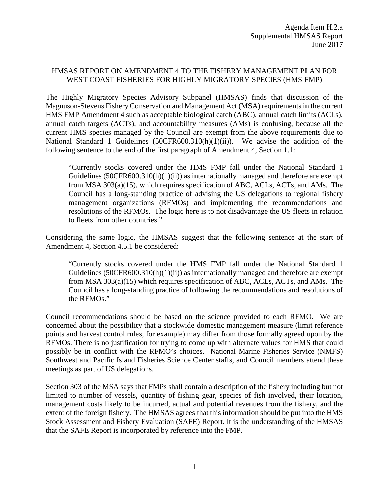## HMSAS REPORT ON AMENDMENT 4 TO THE FISHERY MANAGEMENT PLAN FOR WEST COAST FISHERIES FOR HIGHLY MIGRATORY SPECIES (HMS FMP)

The Highly Migratory Species Advisory Subpanel (HMSAS) finds that discussion of the Magnuson-Stevens Fishery Conservation and Management Act (MSA) requirements in the current HMS FMP Amendment 4 such as acceptable biological catch (ABC), annual catch limits (ACLs), annual catch targets (ACTs), and accountability measures (AMs) is confusing, because all the current HMS species managed by the Council are exempt from the above requirements due to National Standard 1 Guidelines (50CFR600.310(h)(1)(ii)). We advise the addition of the following sentence to the end of the first paragraph of Amendment 4, Section 1.1:

"Currently stocks covered under the HMS FMP fall under the National Standard 1 Guidelines ( $50CFR600.310(h)(1)(ii)$ ) as internationally managed and therefore are exempt from MSA 303(a)(15), which requires specification of ABC, ACLs, ACTs, and AMs. The Council has a long-standing practice of advising the US delegations to regional fishery management organizations (RFMOs) and implementing the recommendations and resolutions of the RFMOs. The logic here is to not disadvantage the US fleets in relation to fleets from other countries."

Considering the same logic, the HMSAS suggest that the following sentence at the start of Amendment 4, Section 4.5.1 be considered:

"Currently stocks covered under the HMS FMP fall under the National Standard 1 Guidelines (50CFR600.310(h)(1)(ii)) as internationally managed and therefore are exempt from MSA 303(a)(15) which requires specification of ABC, ACLs, ACTs, and AMs. The Council has a long-standing practice of following the recommendations and resolutions of the RFMOs."

Council recommendations should be based on the science provided to each RFMO. We are concerned about the possibility that a stockwide domestic management measure (limit reference points and harvest control rules, for example) may differ from those formally agreed upon by the RFMOs. There is no justification for trying to come up with alternate values for HMS that could possibly be in conflict with the RFMO's choices. National Marine Fisheries Service (NMFS) Southwest and Pacific Island Fisheries Science Center staffs, and Council members attend these meetings as part of US delegations.

Section 303 of the MSA says that FMPs shall contain a description of the fishery including but not limited to number of vessels, quantity of fishing gear, species of fish involved, their location, management costs likely to be incurred, actual and potential revenues from the fishery, and the extent of the foreign fishery. The HMSAS agrees that this information should be put into the HMS Stock Assessment and Fishery Evaluation (SAFE) Report. It is the understanding of the HMSAS that the SAFE Report is incorporated by reference into the FMP.